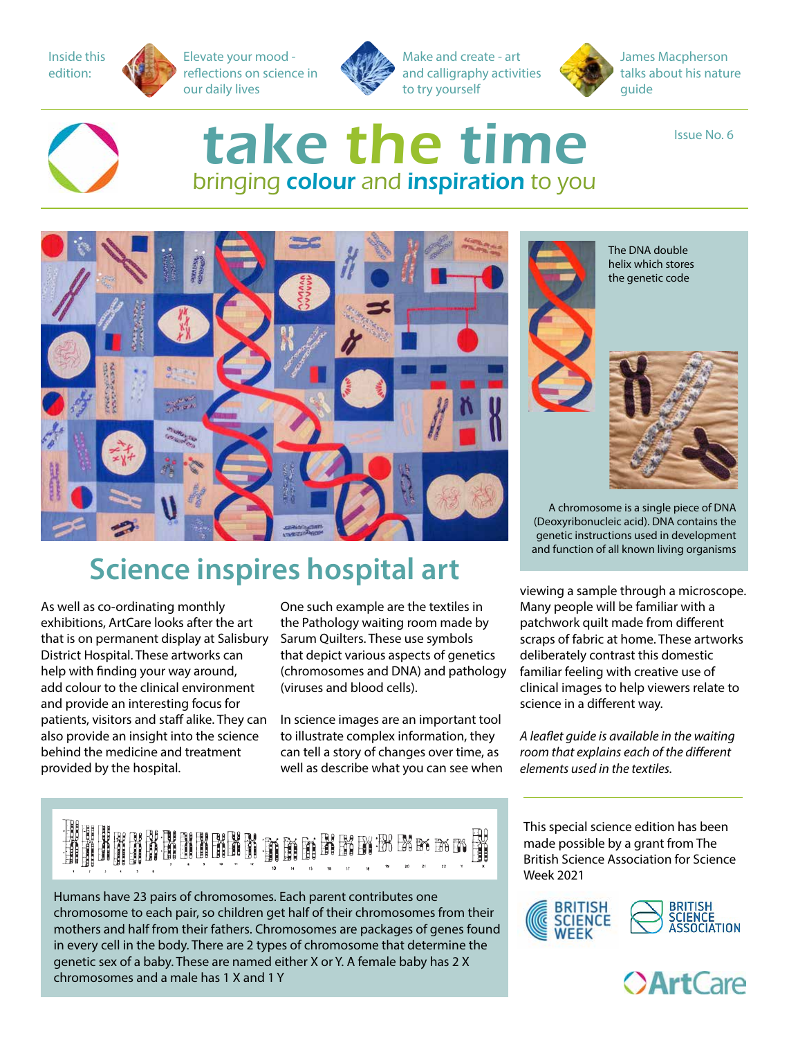Inside this edition:

Elevate your mood reflections on science in our daily lives



Make and create - art and calligraphy activities to try yourself



James Macpherson talks about his nature guide

Issue No. 6



## take the time bringing colour and inspiration to you



### **Science inspires hospital art**

As well as co-ordinating monthly exhibitions, ArtCare looks after the art that is on permanent display at Salisbury District Hospital. These artworks can help with finding your way around, add colour to the clinical environment and provide an interesting focus for patients, visitors and staff alike. They can also provide an insight into the science behind the medicine and treatment provided by the hospital.

One such example are the textiles in the Pathology waiting room made by Sarum Quilters. These use symbols that depict various aspects of genetics (chromosomes and DNA) and pathology (viruses and blood cells).

In science images are an important tool to illustrate complex information, they can tell a story of changes over time, as well as describe what you can see when



Humans have 23 pairs of chromosomes. Each parent contributes one chromosome to each pair, so children get half of their chromosomes from their mothers and half from their fathers. Chromosomes are packages of genes found in every cell in the body. There are 2 types of chromosome that determine the genetic sex of a baby. These are named either X or Y. A female baby has 2 X chromosomes and a male has 1 X and 1 Y



The DNA double helix which stores the genetic code

A chromosome is a single piece of DNA (Deoxyribonucleic acid). DNA contains the genetic instructions used in development and function of all known living organisms

viewing a sample through a microscope. Many people will be familiar with a patchwork quilt made from different scraps of fabric at home. These artworks deliberately contrast this domestic familiar feeling with creative use of clinical images to help viewers relate to science in a different way.

*A leaflet guide is available in the waiting room that explains each of the different elements used in the textiles.*

This special science edition has been made possible by a grant from The British Science Association for Science Week 2021



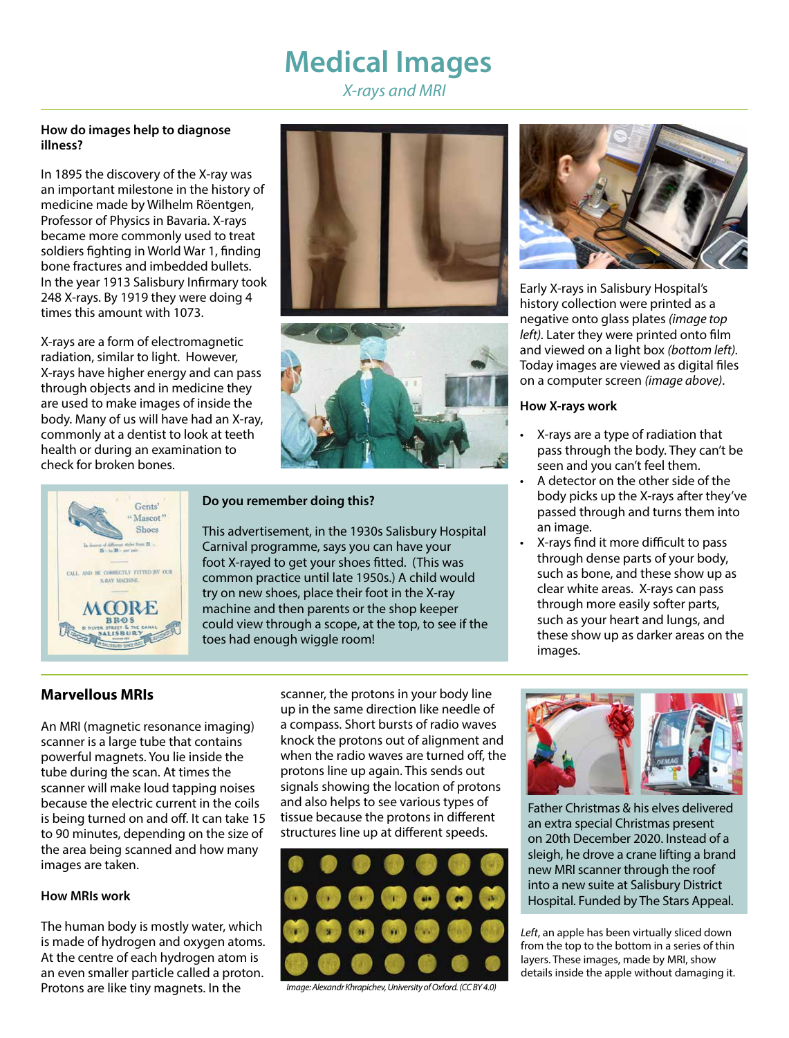## **Medical Images**

*X-rays and MRI*

#### **How do images help to diagnose illness?**

In 1895 the discovery of the X-ray was an important milestone in the history of medicine made by Wilhelm Röentgen, Professor of Physics in Bavaria. X-rays became more commonly used to treat soldiers fighting in World War 1, finding bone fractures and imbedded bullets. In the year 1913 Salisbury Infirmary took 248 X-rays. By 1919 they were doing 4 times this amount with 1073.

X-rays are a form of electromagnetic radiation, similar to light. However, X-rays have higher energy and can pass through objects and in medicine they are used to make images of inside the body. Many of us will have had an X-ray, commonly at a dentist to look at teeth health or during an examination to check for broken bones.







#### **Do you remember doing this?**

This advertisement, in the 1930s Salisbury Hospital Carnival programme, says you can have your foot X-rayed to get your shoes fitted. (This was common practice until late 1950s.) A child would try on new shoes, place their foot in the X-ray machine and then parents or the shop keeper could view through a scope, at the top, to see if the toes had enough wiggle room!



Early X-rays in Salisbury Hospital's history collection were printed as a negative onto glass plates *(image top left).* Later they were printed onto film and viewed on a light box *(bottom left).*  Today images are viewed as digital files on a computer screen *(image above)*.

#### **How X-rays work**

- X-rays are a type of radiation that pass through the body. They can't be seen and you can't feel them.
- A detector on the other side of the body picks up the X-rays after they've passed through and turns them into an image.
- X-rays find it more difficult to pass through dense parts of your body, such as bone, and these show up as clear white areas. X-rays can pass through more easily softer parts, such as your heart and lungs, and these show up as darker areas on the images.

#### **Marvellous MRIs**

An MRI (magnetic resonance imaging) scanner is a large tube that contains powerful magnets. You lie inside the tube during the scan. At times the scanner will make loud tapping noises because the electric current in the coils is being turned on and off. It can take 15 to 90 minutes, depending on the size of the area being scanned and how many images are taken.

#### **How MRIs work**

The human body is mostly water, which is made of hydrogen and oxygen atoms. At the centre of each hydrogen atom is an even smaller particle called a proton. Protons are like tiny magnets. In the

scanner, the protons in your body line up in the same direction like needle of a compass. Short bursts of radio waves knock the protons out of alignment and when the radio waves are turned off, the protons line up again. This sends out signals showing the location of protons and also helps to see various types of tissue because the protons in different structures line up at different speeds.



*Image: Alexandr Khrapichev, University of Oxford. (CC BY 4.0)*



Father Christmas & his elves delivered an extra special Christmas present on 20th December 2020. Instead of a sleigh, he drove a crane lifting a brand new MRI scanner through the roof into a new suite at Salisbury District Hospital. Funded by The Stars Appeal.

*Left*, an apple has been virtually sliced down from the top to the bottom in a series of thin layers. These images, made by MRI, show details inside the apple without damaging it.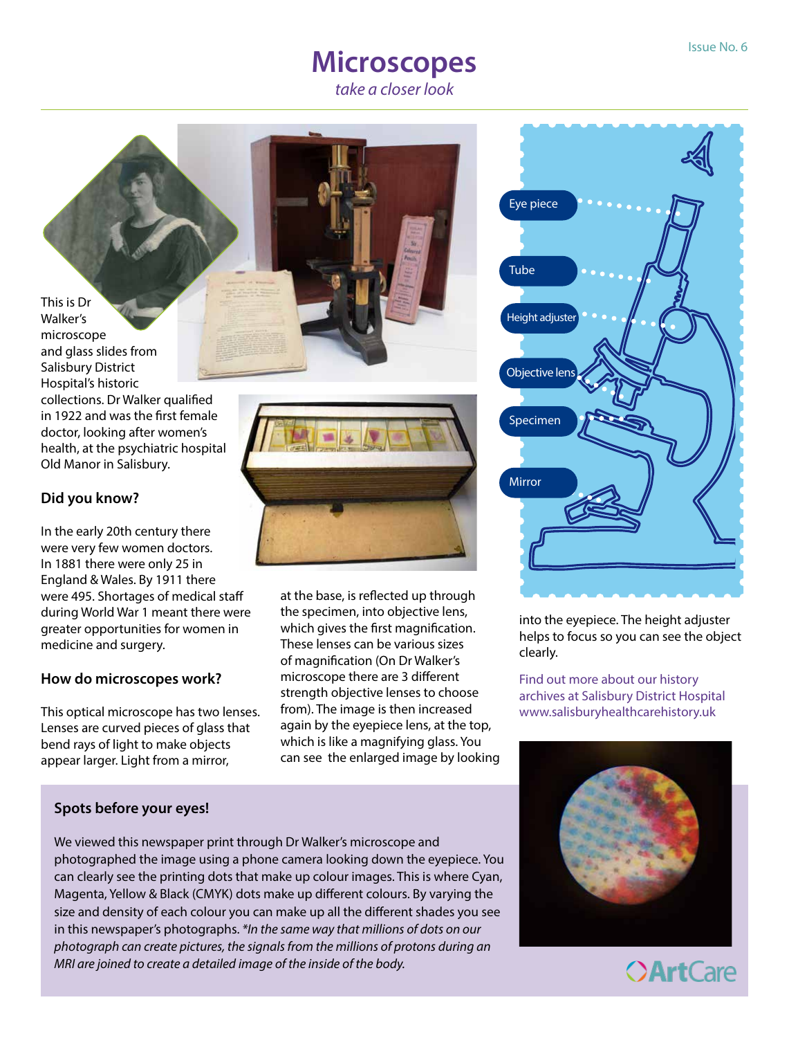# **Microscopes**

*take a closer look* 

This is Dr Walker's microscope and glass slides from Salisbury District Hospital's historic collections. Dr Walker qualified in 1922 and was the first female doctor, looking after women's health, at the psychiatric hospital Old Manor in Salisbury.

#### **Did you know?**

In the early 20th century there were very few women doctors. In 1881 there were only 25 in England & Wales. By 1911 there were 495. Shortages of medical staff during World War 1 meant there were greater opportunities for women in medicine and surgery.

#### **How do microscopes work?**

This optical microscope has two lenses. Lenses are curved pieces of glass that bend rays of light to make objects appear larger. Light from a mirror,



at the base, is reflected up through the specimen, into objective lens, which gives the first magnification. These lenses can be various sizes of magnification (On Dr Walker's microscope there are 3 different strength objective lenses to choose from). The image is then increased again by the eyepiece lens, at the top, which is like a magnifying glass. You can see the enlarged image by looking



into the eyepiece. The height adjuster helps to focus so you can see the object clearly.

Find out more about our history archives at Salisbury District Hospital www.salisburyhealthcarehistory.uk



#### **Spots before your eyes!**

We viewed this newspaper print through Dr Walker's microscope and photographed the image using a phone camera looking down the eyepiece. You can clearly see the printing dots that make up colour images. This is where Cyan, Magenta, Yellow & Black (CMYK) dots make up different colours. By varying the size and density of each colour you can make up all the different shades you see in this newspaper's photographs. *\*In the same way that millions of dots on our photograph can create pictures, the signals from the millions of protons during an MRI are joined to create a detailed image of the inside of the body.*

**OArtCare**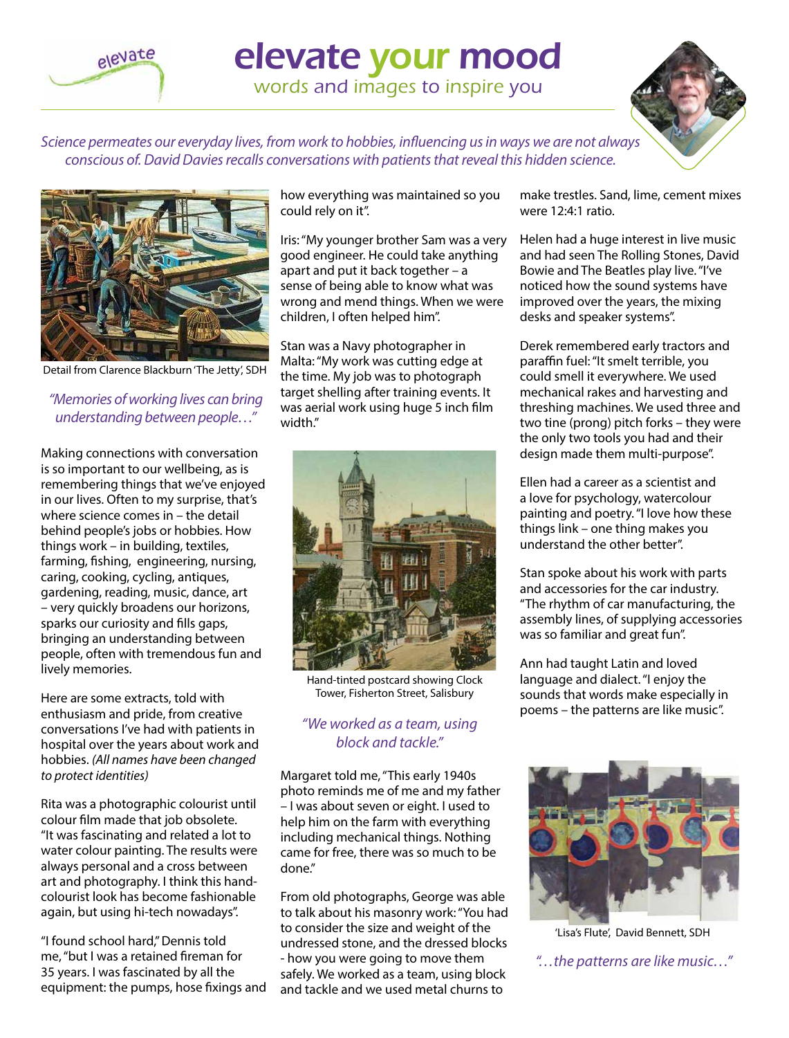elevate

# elevate your mood

words and images to inspire you



*Science permeates our everyday lives, from work to hobbies, influencing us in ways we are not always conscious of. David Davies recalls conversations with patients that reveal this hidden science.* 



Detail from Clarence Blackburn 'The Jetty', SDH

#### *"Memories of working lives can bring understanding between people…"*

Making connections with conversation is so important to our wellbeing, as is remembering things that we've enjoyed in our lives. Often to my surprise, that's where science comes in – the detail behind people's jobs or hobbies. How things work – in building, textiles, farming, fishing, engineering, nursing, caring, cooking, cycling, antiques, gardening, reading, music, dance, art – very quickly broadens our horizons, sparks our curiosity and fills gaps, bringing an understanding between people, often with tremendous fun and lively memories.

Here are some extracts, told with enthusiasm and pride, from creative conversations I've had with patients in hospital over the years about work and hobbies. *(All names have been changed to protect identities)*

Rita was a photographic colourist until colour film made that job obsolete. "It was fascinating and related a lot to water colour painting. The results were always personal and a cross between art and photography. I think this handcolourist look has become fashionable again, but using hi-tech nowadays".

"I found school hard," Dennis told me, "but I was a retained fireman for 35 years. I was fascinated by all the equipment: the pumps, hose fixings and

how everything was maintained so you could rely on it".

Iris: "My younger brother Sam was a very good engineer. He could take anything apart and put it back together – a sense of being able to know what was wrong and mend things. When we were children, I often helped him".

Stan was a Navy photographer in Malta: "My work was cutting edge at the time. My job was to photograph target shelling after training events. It was aerial work using huge 5 inch film width."



Hand-tinted postcard showing Clock Tower, Fisherton Street, Salisbury

#### *"We worked as a team, using block and tackle."*

Margaret told me, "This early 1940s photo reminds me of me and my father – I was about seven or eight. I used to help him on the farm with everything including mechanical things. Nothing came for free, there was so much to be done.

From old photographs, George was able to talk about his masonry work: "You had to consider the size and weight of the undressed stone, and the dressed blocks - how you were going to move them safely. We worked as a team, using block and tackle and we used metal churns to

make trestles. Sand, lime, cement mixes were 12:4:1 ratio.

Helen had a huge interest in live music and had seen The Rolling Stones, David Bowie and The Beatles play live. "I've noticed how the sound systems have improved over the years, the mixing desks and speaker systems".

Derek remembered early tractors and paraffin fuel: "It smelt terrible, you could smell it everywhere. We used mechanical rakes and harvesting and threshing machines. We used three and two tine (prong) pitch forks – they were the only two tools you had and their design made them multi-purpose".

Ellen had a career as a scientist and a love for psychology, watercolour painting and poetry. "I love how these things link – one thing makes you understand the other better".

Stan spoke about his work with parts and accessories for the car industry. "The rhythm of car manufacturing, the assembly lines, of supplying accessories was so familiar and great fun".

Ann had taught Latin and loved language and dialect. "I enjoy the sounds that words make especially in poems – the patterns are like music".



'Lisa's Flute', David Bennett, SDH

*"…the patterns are like music…"*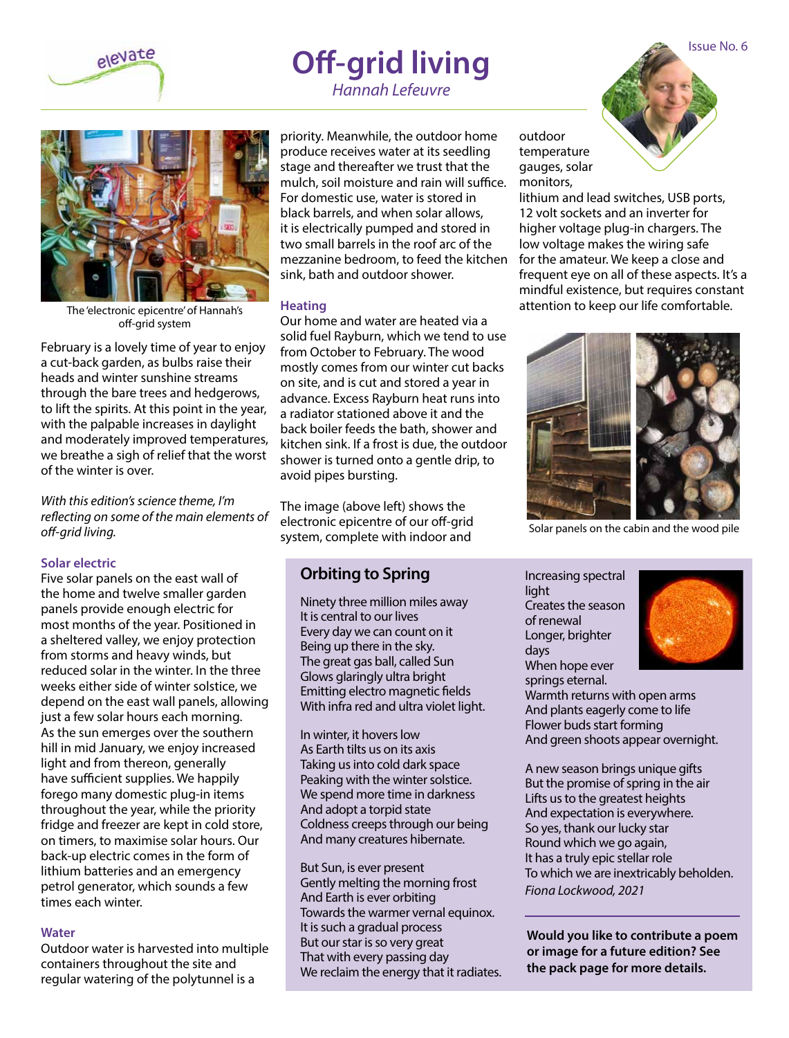

## **Off-grid living**

*Hannah Lefeuvre*



The 'electronic epicentre' of Hannah's off-grid system

February is a lovely time of year to enjoy a cut-back garden, as bulbs raise their heads and winter sunshine streams through the bare trees and hedgerows, to lift the spirits. At this point in the year, with the palpable increases in daylight and moderately improved temperatures, we breathe a sigh of relief that the worst of the winter is over.

*With this edition's science theme, I'm reflecting on some of the main elements of off-grid living.*

#### **Solar electric**

Five solar panels on the east wall of the home and twelve smaller garden panels provide enough electric for most months of the year. Positioned in a sheltered valley, we enjoy protection from storms and heavy winds, but reduced solar in the winter. In the three weeks either side of winter solstice, we depend on the east wall panels, allowing just a few solar hours each morning. As the sun emerges over the southern hill in mid January, we enjoy increased light and from thereon, generally have sufficient supplies. We happily forego many domestic plug-in items throughout the year, while the priority fridge and freezer are kept in cold store, on timers, to maximise solar hours. Our back-up electric comes in the form of lithium batteries and an emergency petrol generator, which sounds a few times each winter.

#### **Water**

Outdoor water is harvested into multiple containers throughout the site and regular watering of the polytunnel is a

priority. Meanwhile, the outdoor home produce receives water at its seedling stage and thereafter we trust that the mulch, soil moisture and rain will suffice. For domestic use, water is stored in black barrels, and when solar allows, it is electrically pumped and stored in two small barrels in the roof arc of the mezzanine bedroom, to feed the kitchen for the amateur. We keep a close and sink, bath and outdoor shower.

#### **Heating**

Our home and water are heated via a solid fuel Rayburn, which we tend to use from October to February. The wood mostly comes from our winter cut backs on site, and is cut and stored a year in advance. Excess Rayburn heat runs into a radiator stationed above it and the back boiler feeds the bath, shower and kitchen sink. If a frost is due, the outdoor shower is turned onto a gentle drip, to avoid pipes bursting.

The image (above left) shows the electronic epicentre of our off-grid system, complete with indoor and

#### **Orbiting to Spring**

Ninety three million miles away It is central to our lives Every day we can count on it Being up there in the sky. The great gas ball, called Sun Glows glaringly ultra bright Emitting electro magnetic fields With infra red and ultra violet light.

In winter, it hovers low As Earth tilts us on its axis Taking us into cold dark space Peaking with the winter solstice. We spend more time in darkness And adopt a torpid state Coldness creeps through our being And many creatures hibernate.

But Sun, is ever present Gently melting the morning frost And Earth is ever orbiting Towards the warmer vernal equinox. It is such a gradual process But our star is so very great That with every passing day We reclaim the energy that it radiates.

outdoor temperature gauges, solar monitors,

lithium and lead switches, USB ports, 12 volt sockets and an inverter for higher voltage plug-in chargers. The low voltage makes the wiring safe frequent eye on all of these aspects. It's a mindful existence, but requires constant attention to keep our life comfortable.



Solar panels on the cabin and the wood pile

Increasing spectral light Creates the season of renewal Longer, brighter days When hope ever springs eternal.



Warmth returns with open arms And plants eagerly come to life Flower buds start forming And green shoots appear overnight.

A new season brings unique gifts But the promise of spring in the air Lifts us to the greatest heights And expectation is everywhere. So yes, thank our lucky star Round which we go again, It has a truly epic stellar role To which we are inextricably beholden. *Fiona Lockwood, 2021*

**Would you like to contribute a poem or image for a future edition? See the pack page for more details.**

Issue No. 6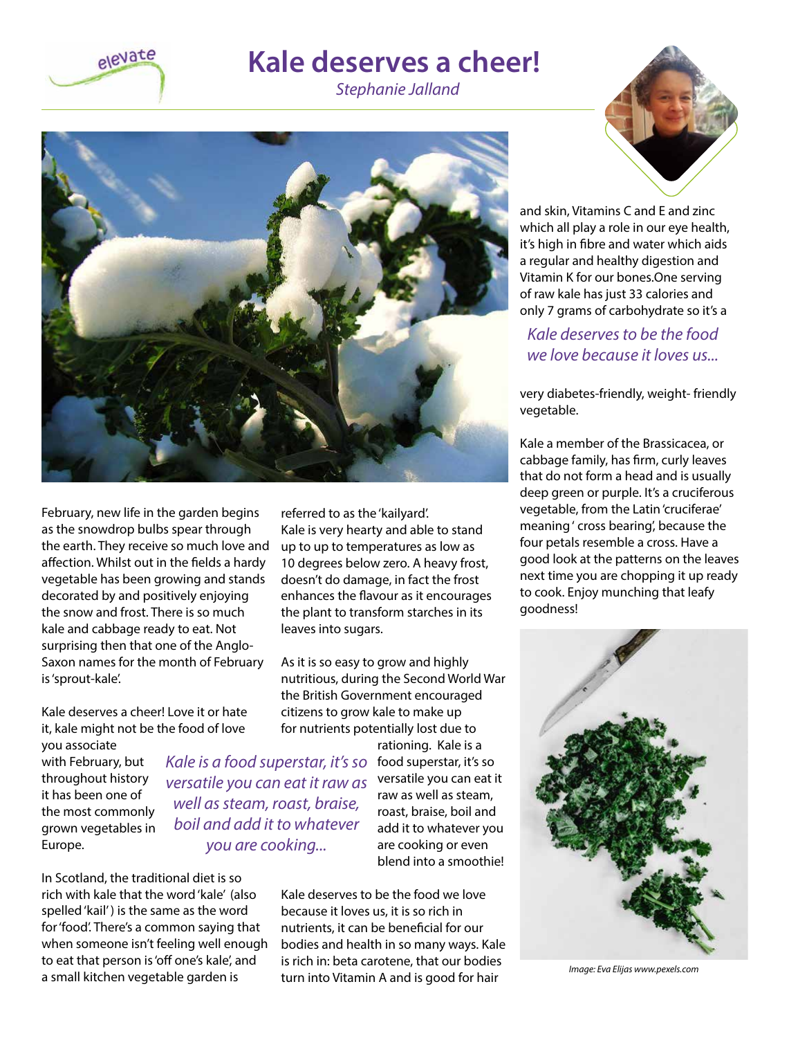

### **Kale deserves a cheer!**

*Stephanie Jalland*



February, new life in the garden begins as the snowdrop bulbs spear through the earth. They receive so much love and affection. Whilst out in the fields a hardy vegetable has been growing and stands decorated by and positively enjoying the snow and frost. There is so much kale and cabbage ready to eat. Not surprising then that one of the Anglo-Saxon names for the month of February is 'sprout-kale'.

Kale deserves a cheer! Love it or hate it, kale might not be the food of love

you associate with February, but throughout history it has been one of the most commonly grown vegetables in Europe.

*Kale is a food superstar, it's so versatile you can eat it raw as well as steam, roast, braise, boil and add it to whatever you are cooking...*

In Scotland, the traditional diet is so rich with kale that the word 'kale' (also spelled 'kail' ) is the same as the word for 'food'. There's a common saying that when someone isn't feeling well enough to eat that person is 'off one's kale', and a small kitchen vegetable garden is

referred to as the 'kailyard'. Kale is very hearty and able to stand up to up to temperatures as low as 10 degrees below zero. A heavy frost, doesn't do damage, in fact the frost enhances the flavour as it encourages the plant to transform starches in its leaves into sugars.

As it is so easy to grow and highly nutritious, during the Second World War the British Government encouraged citizens to grow kale to make up for nutrients potentially lost due to

> rationing. Kale is a food superstar, it's so versatile you can eat it raw as well as steam, roast, braise, boil and add it to whatever you are cooking or even blend into a smoothie!

Kale deserves to be the food we love because it loves us, it is so rich in nutrients, it can be beneficial for our bodies and health in so many ways. Kale is rich in: beta carotene, that our bodies turn into Vitamin A and is good for hair



and skin, Vitamins C and E and zinc which all play a role in our eye health, it's high in fibre and water which aids a regular and healthy digestion and Vitamin K for our bones.One serving of raw kale has just 33 calories and only 7 grams of carbohydrate so it's a

#### *Kale deserves to be the food we love because it loves us...*

very diabetes-friendly, weight- friendly vegetable.

Kale a member of the Brassicacea, or cabbage family, has firm, curly leaves that do not form a head and is usually deep green or purple. It's a cruciferous vegetable, from the Latin 'cruciferae' meaning ' cross bearing', because the four petals resemble a cross. Have a good look at the patterns on the leaves next time you are chopping it up ready to cook. Enjoy munching that leafy goodness!



*Image: Eva Elijas www.pexels.com*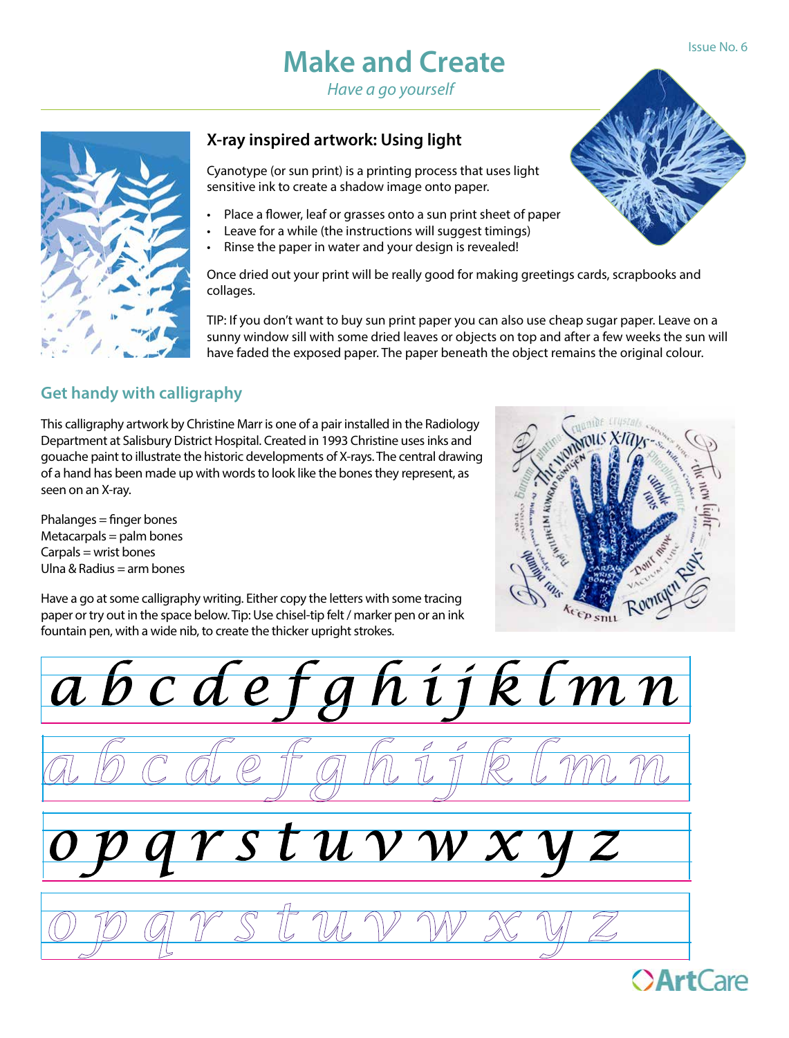### **Make and Create**

*Have a go yourself*



#### **X-ray inspired artwork: Using light**

Cyanotype (or sun print) is a printing process that uses light sensitive ink to create a shadow image onto paper.

- Place a flower, leaf or grasses onto a sun print sheet of paper
- Leave for a while (the instructions will suggest timings)
- Rinse the paper in water and your design is revealed!

Once dried out your print will be really good for making greetings cards, scrapbooks and collages.

TIP: If you don't want to buy sun print paper you can also use cheap sugar paper. Leave on a sunny window sill with some dried leaves or objects on top and after a few weeks the sun will have faded the exposed paper. The paper beneath the object remains the original colour.

#### **Get handy with calligraphy**

This calligraphy artwork by Christine Marr is one of a pair installed in the Radiology Department at Salisbury District Hospital. Created in 1993 Christine uses inks and gouache paint to illustrate the historic developments of X-rays. The central drawing of a hand has been made up with words to look like the bones they represent, as seen on an X-ray.

Phalanges = finger bones  $Metacarpals = palm bones$  $Carpals = wrist bones$ Ulna & Radius  $=$  arm bones



Have a go at some calligraphy writing. Either copy the letters with some tracing paper or try out in the space below. Tip: Use chisel-tip felt / marker pen or an ink fountain pen, with a wide nib, to create the thicker upright strokes.